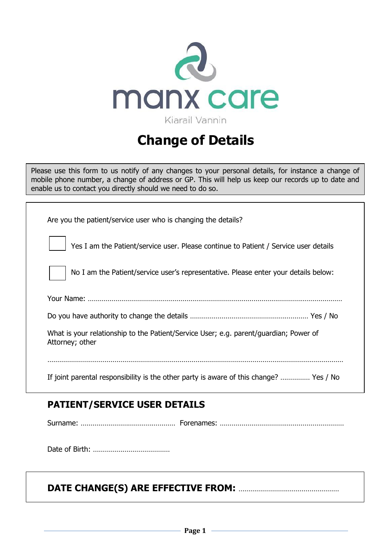

# **Change of Details**

Please use this form to us notify of any changes to your personal details, for instance a change of mobile phone number, a change of address or GP. This will help us keep our records up to date and enable us to contact you directly should we need to do so.

| Are you the patient/service user who is changing the details?                                            |
|----------------------------------------------------------------------------------------------------------|
| Yes I am the Patient/service user. Please continue to Patient / Service user details                     |
| No I am the Patient/service user's representative. Please enter your details below:                      |
|                                                                                                          |
|                                                                                                          |
| What is your relationship to the Patient/Service User; e.g. parent/guardian; Power of<br>Attorney; other |
|                                                                                                          |
| If joint parental responsibility is the other party is aware of this change?  Yes / No                   |
|                                                                                                          |

# **PATIENT/SERVICE USER DETAILS**

Surname: ………………………………………… Forenames: ………………………………………………………

Date of Birth: …………………………………

# **DATE CHANGE(S) ARE EFFECTIVE FROM:** ……………………………………………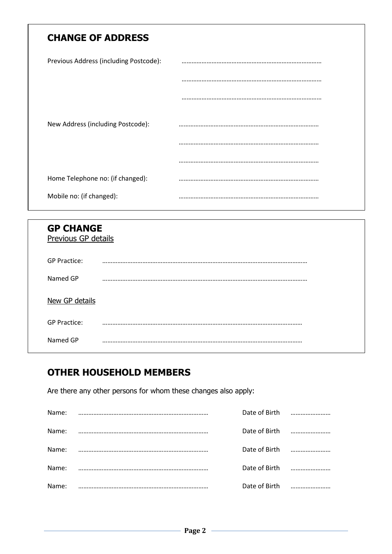## **CHANGE OF ADDRESS**

| Previous Address (including Postcode): |  |
|----------------------------------------|--|
|                                        |  |
|                                        |  |
| New Address (including Postcode):      |  |
|                                        |  |
|                                        |  |
| Home Telephone no: (if changed):       |  |
| Mobile no: (if changed):               |  |

| <b>GP CHANGE</b>    | Previous GP details |  |  |
|---------------------|---------------------|--|--|
| <b>GP Practice:</b> |                     |  |  |
| Named GP            |                     |  |  |
| New GP details      |                     |  |  |
| <b>GP Practice:</b> |                     |  |  |
| Named GP            |                     |  |  |

# **OTHER HOUSEHOLD MEMBERS**

Are there any other persons for whom these changes also apply:

| Name: | Date of Birth |  |
|-------|---------------|--|
| Name: | Date of Birth |  |
| Name: | Date of Birth |  |
| Name: | Date of Birth |  |
| Name: | Date of Birth |  |